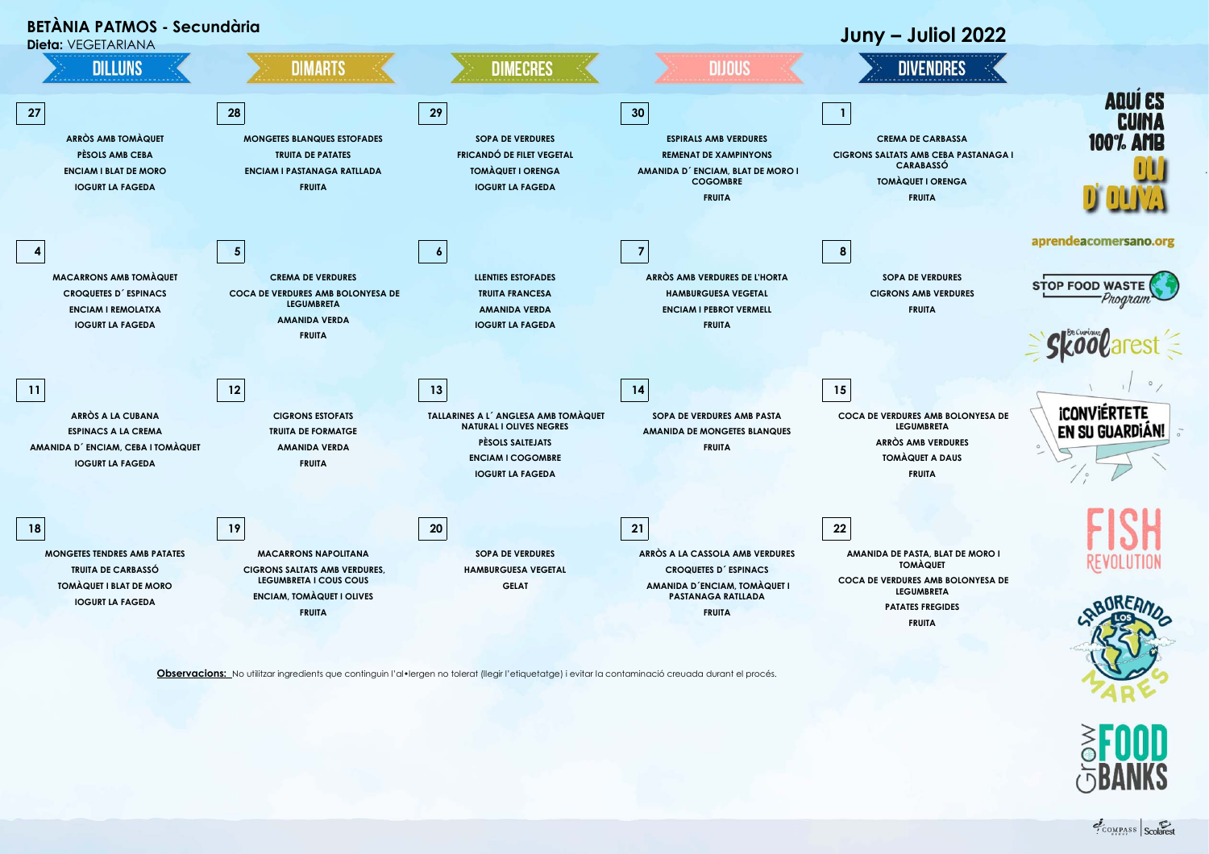

**Observacions:** No utilitzar ingredients que continguin l'al•lergen no tolerat (llegir l'etiquetatge) i evitar la contaminació creuada durant el procés.